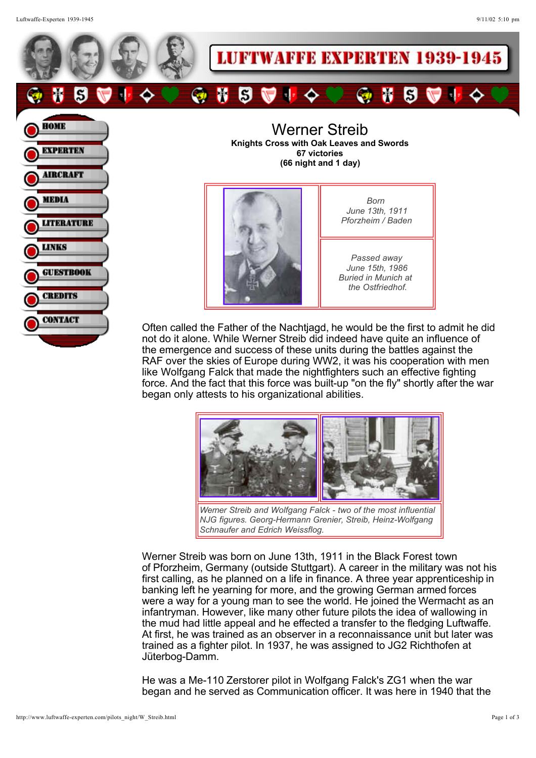Luftwaffe-Experten 1939-1945 9/11/02 5:10 pm

**LITERATURE** 

**GUESTBOOK** 

**CREDITS** 

**CONTACT** 

**LINKS** 





*June 13th, 1911 Pforzheim / Baden*

*Passed away June 15th, 1986 Buried in Munich at the Ostfriedhof.*

Often called the Father of the Nachtjagd, he would be the first to admit he did not do it alone. While Werner Streib did indeed have quite an influence of the emergence and success of these units during the battles against the RAF over the skies of Europe during WW2, it was his cooperation with men like Wolfgang Falck that made the nightfighters such an effective fighting force. And the fact that this force was built-up "on the fly" shortly after the war began only attests to his organizational abilities.



*NJG figures. Georg-Hermann Grenier, Streib, Heinz-Wolfgang Schnaufer and Edrich Weissflog.*

Werner Streib was born on June 13th, 1911 in the Black Forest town of Pforzheim, Germany (outside Stuttgart). A career in the military was not his first calling, as he planned on a life in finance. A three year apprenticeship in banking left he yearning for more, and the growing German armed forces were a way for a young man to see the world. He joined the Wermacht as an infantryman. However, like many other future pilots the idea of wallowing in the mud had little appeal and he effected a transfer to the fledging Luftwaffe. At first, he was trained as an observer in a reconnaissance unit but later was trained as a fighter pilot. In 1937, he was assigned to JG2 Richthofen at Jüterbog-Damm.

He was a Me-110 Zerstorer pilot in Wolfgang Falck's ZG1 when the war began and he served as Communication officer. It was here in 1940 that the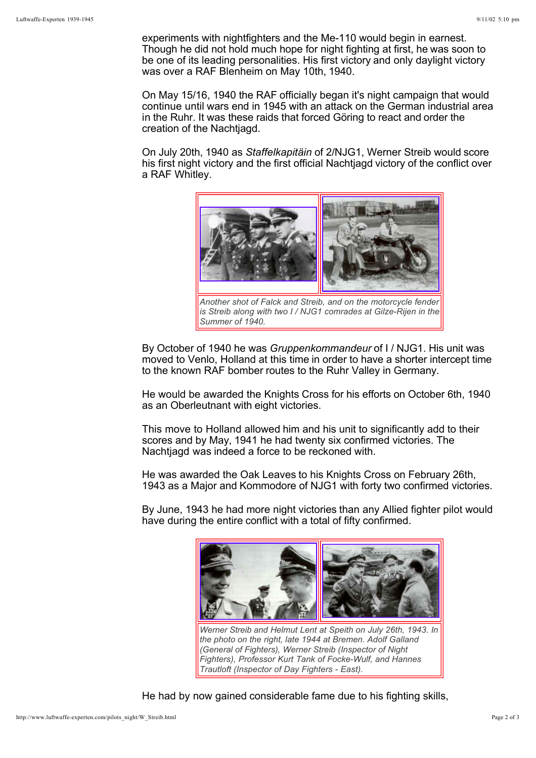experiments with nightfighters and the Me-110 would begin in earnest. Though he did not hold much hope for night fighting at first, he was soon to be one of its leading personalities. His first victory and only daylight victory was over a RAF Blenheim on May 10th, 1940.

On May 15/16, 1940 the RAF officially began it's night campaign that would continue until wars end in 1945 with an attack on the German industrial area in the Ruhr. It was these raids that forced Göring to react and order the creation of the Nachtjagd.

On July 20th, 1940 as Staffelkapitäin of 2/NJG1, Werner Streib would score his first night victory and the first official Nachtjagd victory of the conflict over a RAF Whitley.



*Another shot of Falck and Streib, and on the motorcycle fender is Streib along with two I / NJG1 comrades at Gilze-Rijen in the Summer of 1940.* 

By October of 1940 he was Gruppenkommandeur of I / NJG1. His unit was moved to Venlo, Holland at this time in order to have a shorter intercept time to the known RAF bomber routes to the Ruhr Valley in Germany.

He would be awarded the Knights Cross for his efforts on October 6th, 1940 as an Oberleutnant with eight victories.

This move to Holland allowed him and his unit to significantly add to their scores and by May, 1941 he had twenty six confirmed victories. The Nachtjagd was indeed a force to be reckoned with.

He was awarded the Oak Leaves to his Knights Cross on February 26th, 1943 as a Major and Kommodore of NJG1 with forty two confirmed victories.

By June, 1943 he had more night victories than any Allied fighter pilot would have during the entire conflict with a total of fifty confirmed.



He had by now gained considerable fame due to his fighting skills,